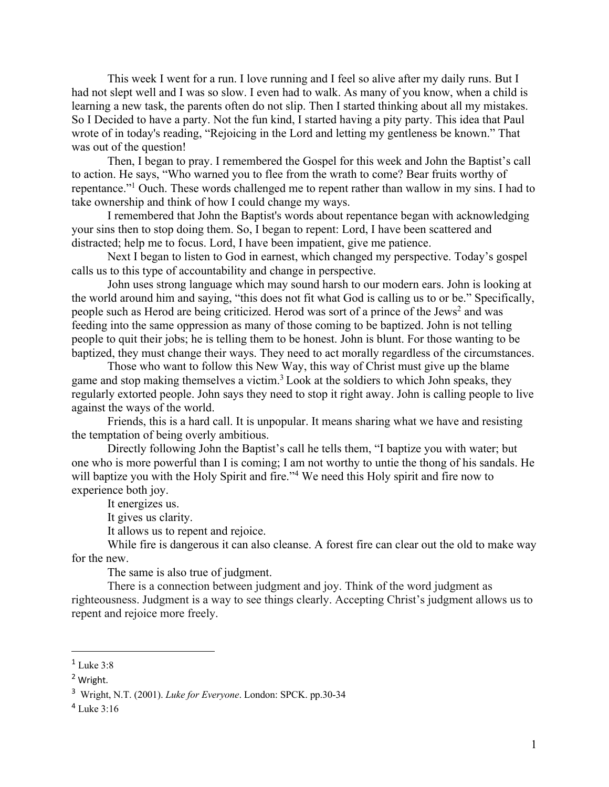This week I went for a run. I love running and I feel so alive after my daily runs. But I had not slept well and I was so slow. I even had to walk. As many of you know, when a child is learning a new task, the parents often do not slip. Then I started thinking about all my mistakes. So I Decided to have a party. Not the fun kind, I started having a pity party. This idea that Paul wrote of in today's reading, "Rejoicing in the Lord and letting my gentleness be known." That was out of the question!

Then, I began to pray. I remembered the Gospel for this week and John the Baptist's call to action. He says, "Who warned you to flee from the wrath to come? Bear fruits worthy of repentance."1 Ouch. These words challenged me to repent rather than wallow in my sins. I had to take ownership and think of how I could change my ways.

I remembered that John the Baptist's words about repentance began with acknowledging your sins then to stop doing them. So, I began to repent: Lord, I have been scattered and distracted; help me to focus. Lord, I have been impatient, give me patience.

Next I began to listen to God in earnest, which changed my perspective. Today's gospel calls us to this type of accountability and change in perspective.

John uses strong language which may sound harsh to our modern ears. John is looking at the world around him and saying, "this does not fit what God is calling us to or be." Specifically, people such as Herod are being criticized. Herod was sort of a prince of the Jews<sup>2</sup> and was feeding into the same oppression as many of those coming to be baptized. John is not telling people to quit their jobs; he is telling them to be honest. John is blunt. For those wanting to be baptized, they must change their ways. They need to act morally regardless of the circumstances.

Those who want to follow this New Way, this way of Christ must give up the blame game and stop making themselves a victim.<sup>3</sup> Look at the soldiers to which John speaks, they regularly extorted people. John says they need to stop it right away. John is calling people to live against the ways of the world.

Friends, this is a hard call. It is unpopular. It means sharing what we have and resisting the temptation of being overly ambitious.

Directly following John the Baptist's call he tells them, "I baptize you with water; but one who is more powerful than I is coming; I am not worthy to untie the thong of his sandals. He will baptize you with the Holy Spirit and fire."<sup>4</sup> We need this Holy spirit and fire now to experience both joy.

It energizes us.

It gives us clarity.

It allows us to repent and rejoice.

While fire is dangerous it can also cleanse. A forest fire can clear out the old to make way for the new.

The same is also true of judgment.

There is a connection between judgment and joy. Think of the word judgment as righteousness. Judgment is a way to see things clearly. Accepting Christ's judgment allows us to repent and rejoice more freely.

 $1$  Luke 3:8

<sup>2</sup> Wright.

<sup>3</sup> Wright, N.T. (2001). *Luke for Everyone*. London: SPCK. pp.30-34

 $4$  Luke 3:16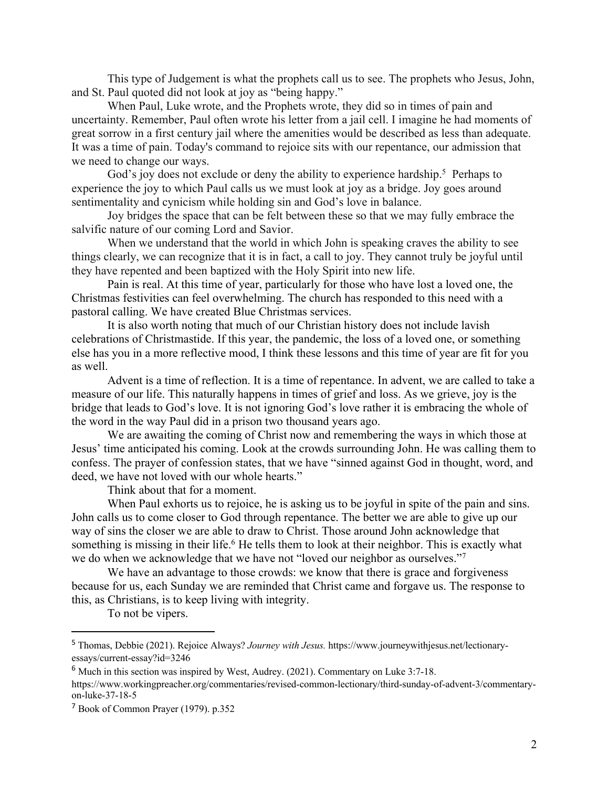This type of Judgement is what the prophets call us to see. The prophets who Jesus, John, and St. Paul quoted did not look at joy as "being happy."

When Paul, Luke wrote, and the Prophets wrote, they did so in times of pain and uncertainty. Remember, Paul often wrote his letter from a jail cell. I imagine he had moments of great sorrow in a first century jail where the amenities would be described as less than adequate. It was a time of pain. Today's command to rejoice sits with our repentance, our admission that we need to change our ways.

God's joy does not exclude or deny the ability to experience hardship.<sup>5</sup> Perhaps to experience the joy to which Paul calls us we must look at joy as a bridge. Joy goes around sentimentality and cynicism while holding sin and God's love in balance.

Joy bridges the space that can be felt between these so that we may fully embrace the salvific nature of our coming Lord and Savior.

When we understand that the world in which John is speaking craves the ability to see things clearly, we can recognize that it is in fact, a call to joy. They cannot truly be joyful until they have repented and been baptized with the Holy Spirit into new life.

Pain is real. At this time of year, particularly for those who have lost a loved one, the Christmas festivities can feel overwhelming. The church has responded to this need with a pastoral calling. We have created Blue Christmas services.

It is also worth noting that much of our Christian history does not include lavish celebrations of Christmastide. If this year, the pandemic, the loss of a loved one, or something else has you in a more reflective mood, I think these lessons and this time of year are fit for you as well.

Advent is a time of reflection. It is a time of repentance. In advent, we are called to take a measure of our life. This naturally happens in times of grief and loss. As we grieve, joy is the bridge that leads to God's love. It is not ignoring God's love rather it is embracing the whole of the word in the way Paul did in a prison two thousand years ago.

We are awaiting the coming of Christ now and remembering the ways in which those at Jesus' time anticipated his coming. Look at the crowds surrounding John. He was calling them to confess. The prayer of confession states, that we have "sinned against God in thought, word, and deed, we have not loved with our whole hearts."

Think about that for a moment.

When Paul exhorts us to rejoice, he is asking us to be joyful in spite of the pain and sins. John calls us to come closer to God through repentance. The better we are able to give up our way of sins the closer we are able to draw to Christ. Those around John acknowledge that something is missing in their life.<sup>6</sup> He tells them to look at their neighbor. This is exactly what we do when we acknowledge that we have not "loved our neighbor as ourselves."<sup>7</sup>

We have an advantage to those crowds: we know that there is grace and forgiveness because for us, each Sunday we are reminded that Christ came and forgave us. The response to this, as Christians, is to keep living with integrity.

To not be vipers.

<sup>5</sup> Thomas, Debbie (2021). Rejoice Always? *Journey with Jesus.* https://www.journeywithjesus.net/lectionaryessays/current-essay?id=3246

<sup>6</sup> Much in this section was inspired by West, Audrey. (2021). Commentary on Luke 3:7-18. https://www.workingpreacher.org/commentaries/revised-common-lectionary/third-sunday-of-advent-3/commentary-

on-luke-37-18-5

<sup>7</sup> Book of Common Prayer (1979). p.352